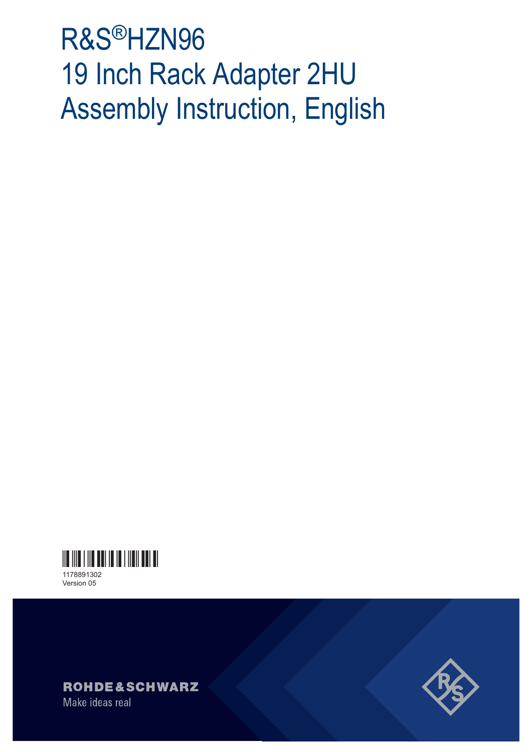# R&S®HZN96 19 Inch Rack Adapter 2HU Assembly Instruction, English



Version 05



Make ideas real

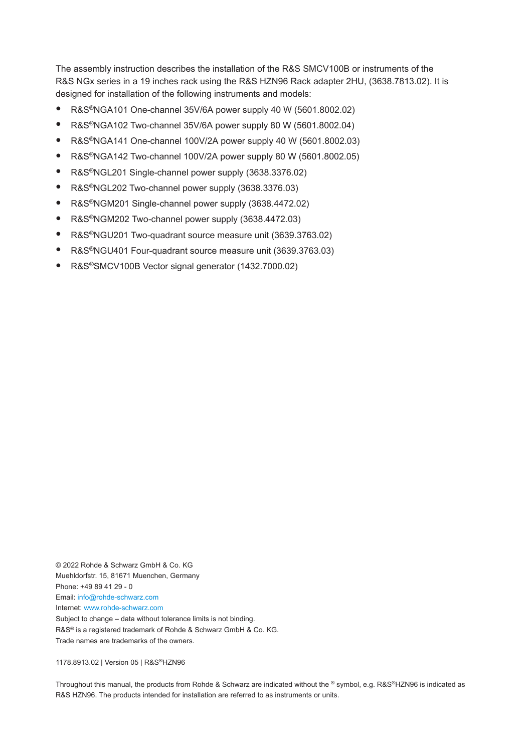The assembly instruction describes the installation of the R&S SMCV100B or instruments of the R&S NGx series in a 19 inches rack using the R&S HZN96 Rack adapter 2HU, (3638.7813.02). It is designed for installation of the following instruments and models:

- R&S<sup>®</sup>NGA101 One-channel 35V/6A power supply 40 W (5601.8002.02)
- R&S®NGA102 Two-channel 35V/6A power supply 80 W (5601.8002.04)
- R&S®NGA141 One-channel 100V/2A power supply 40 W (5601.8002.03)
- R&S®NGA142 Two-channel 100V/2A power supply 80 W (5601.8002.05)
- R&S®NGL201 Single-channel power supply (3638.3376.02)
- R&S®NGL202 Two-channel power supply (3638.3376.03)
- R&S®NGM201 Single-channel power supply (3638.4472.02)
- R&S®NGM202 Two-channel power supply (3638.4472.03)
- R&S<sup>®</sup>NGU201 Two-quadrant source measure unit (3639.3763.02)
- R&S<sup>®</sup>NGU401 Four-quadrant source measure unit (3639.3763.03)
- R&S®SMCV100B Vector signal generator (1432.7000.02)

© 2022 Rohde & Schwarz GmbH & Co. KG Muehldorfstr. 15, 81671 Muenchen, Germany Phone: +49 89 41 29 - 0 Email: [info@rohde-schwarz.com](mailto:info@rohde-schwarz.com) Internet: [www.rohde-schwarz.com](http://www.rohde-schwarz.com) Subject to change – data without tolerance limits is not binding. R&S® is a registered trademark of Rohde & Schwarz GmbH & Co. KG. Trade names are trademarks of the owners.

1178.8913.02 | Version 05 | R&S®HZN96

Throughout this manual, the products from Rohde & Schwarz are indicated without the ® symbol, e.g. R&S®HZN96 is indicated as R&S HZN96. The products intended for installation are referred to as instruments or units.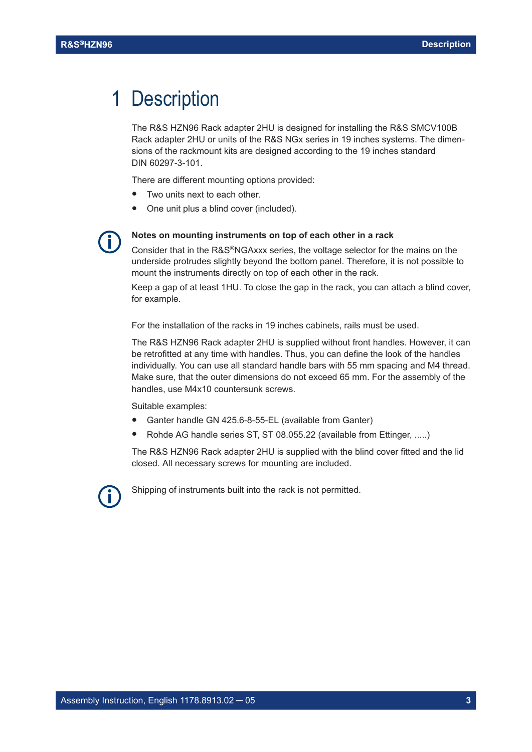### 1 Description

The R&S HZN96 Rack adapter 2HU is designed for installing the R&S SMCV100B Rack adapter 2HU or units of the R&S NGx series in 19 inches systems. The dimensions of the rackmount kits are designed according to the 19 inches standard DIN 60297-3-101.

There are different mounting options provided:

- Two units next to each other.
- One unit plus a blind cover (included).



#### **Notes on mounting instruments on top of each other in a rack**

Consider that in the R&S®NGAxxx series, the voltage selector for the mains on the underside protrudes slightly beyond the bottom panel. Therefore, it is not possible to mount the instruments directly on top of each other in the rack.

Keep a gap of at least 1HU. To close the gap in the rack, you can attach a blind cover, for example.

For the installation of the racks in 19 inches cabinets, rails must be used.

The R&S HZN96 Rack adapter 2HU is supplied without front handles. However, it can be retrofitted at any time with handles. Thus, you can define the look of the handles individually. You can use all standard handle bars with 55 mm spacing and M4 thread. Make sure, that the outer dimensions do not exceed 65 mm. For the assembly of the handles, use M4x10 countersunk screws.

Suitable examples:

- Ganter handle GN 425.6-8-55-EL (available from Ganter)
- Rohde AG handle series ST, ST 08.055.22 (available from Ettinger, .....)

The R&S HZN96 Rack adapter 2HU is supplied with the blind cover fitted and the lid closed. All necessary screws for mounting are included.

Shipping of instruments built into the rack is not permitted.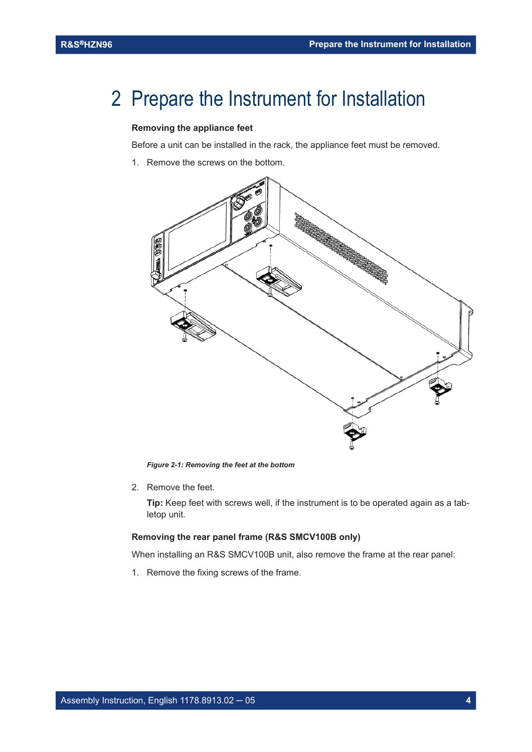### 2 Prepare the Instrument for Installation

#### **Removing the appliance feet**

Before a unit can be installed in the rack, the appliance feet must be removed.

1. Remove the screws on the bottom.



*Figure 2-1: Removing the feet at the bottom*

2. Remove the feet.

**Tip:** Keep feet with screws well, if the instrument is to be operated again as a tabletop unit.

#### **Removing the rear panel frame (R&S SMCV100B only)**

When installing an R&S SMCV100B unit, also remove the frame at the rear panel:

1. Remove the fixing screws of the frame.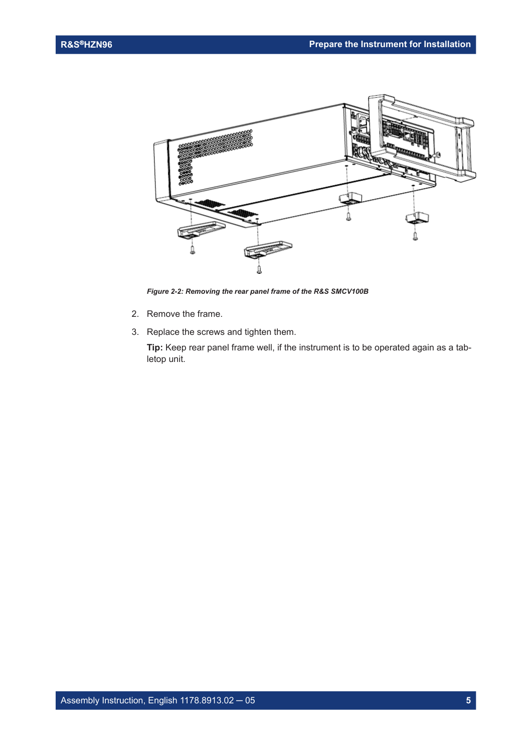

*Figure 2-2: Removing the rear panel frame of the R&S SMCV100B*

- 2. Remove the frame.
- 3. Replace the screws and tighten them.

**Tip:** Keep rear panel frame well, if the instrument is to be operated again as a tabletop unit.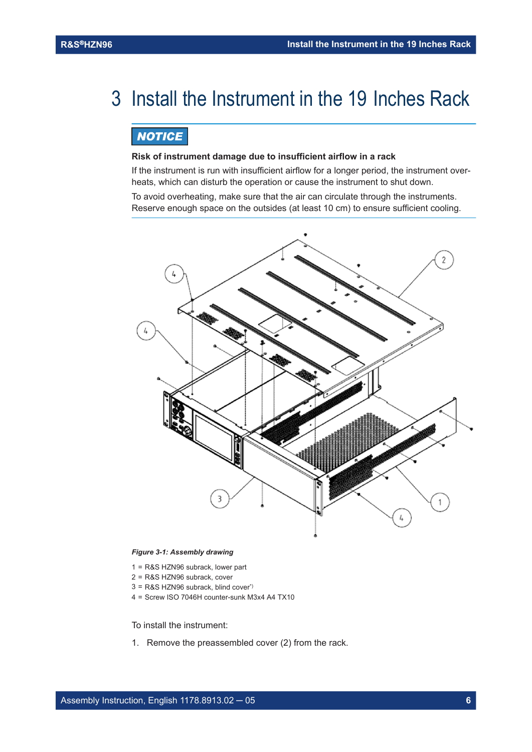## 3 Install the Instrument in the 19 Inches Rack

### **NOTICE**

#### **Risk of instrument damage due to insufficient airflow in a rack**

If the instrument is run with insufficient airflow for a longer period, the instrument overheats, which can disturb the operation or cause the instrument to shut down.

To avoid overheating, make sure that the air can circulate through the instruments. Reserve enough space on the outsides (at least 10 cm) to ensure sufficient cooling.



#### *Figure 3-1: Assembly drawing*

- 1 = R&S HZN96 subrack, lower part
- 2 = R&S HZN96 subrack, cover
- $3 = R & S$  HZN96 subrack, blind cover<sup>\*)</sup>
- 4 = Screw ISO 7046H counter-sunk M3x4 A4 TX10

To install the instrument:

1. Remove the preassembled cover (2) from the rack.